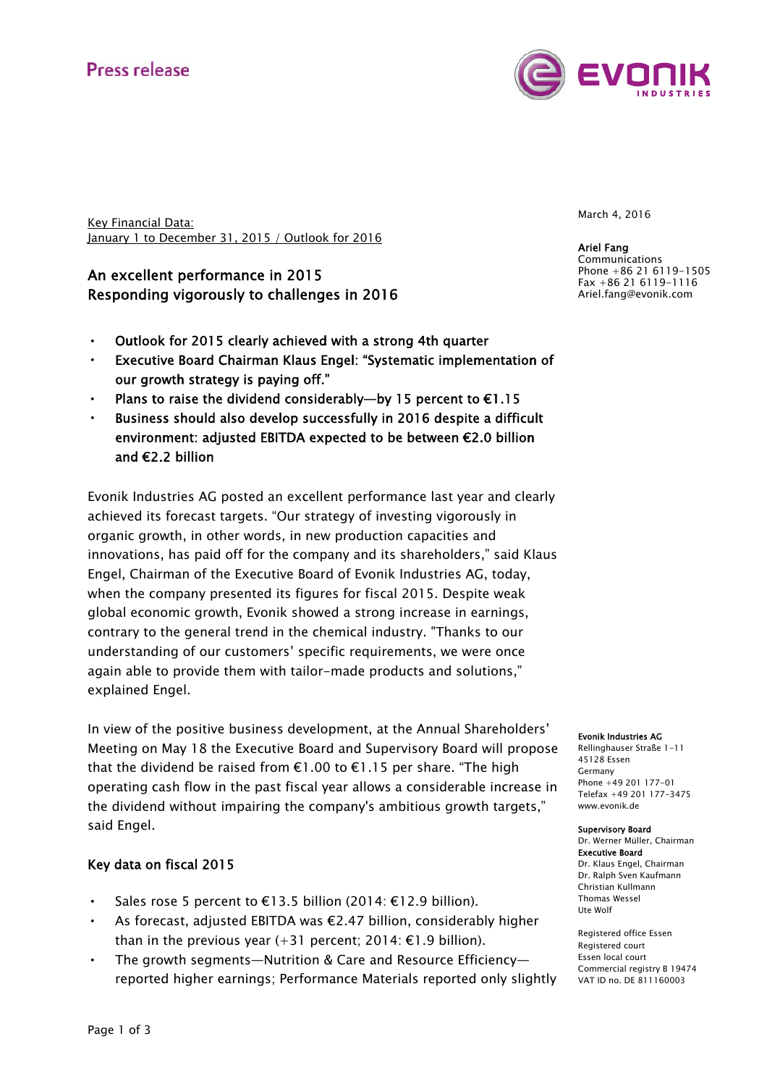# Press release



Key Financial Data: January 1 to December 31, 2015 / Outlook for 2016

## An excellent performance in 2015 Responding vigorously to challenges in 2016

- Outlook for 2015 clearly achieved with a strong 4th quarter
- Executive Board Chairman Klaus Engel: "Systematic implementation of our growth strategy is paying off."
- Plans to raise the dividend considerably—by 15 percent to  $\epsilon$ 1.15
- Business should also develop successfully in 2016 despite a difficult environment: adjusted EBITDA expected to be between €2.0 billion and €2.2 billion

Evonik Industries AG posted an excellent performance last year and clearly achieved its forecast targets. "Our strategy of investing vigorously in organic growth, in other words, in new production capacities and innovations, has paid off for the company and its shareholders," said Klaus Engel, Chairman of the Executive Board of Evonik Industries AG, today, when the company presented its figures for fiscal 2015. Despite weak global economic growth, Evonik showed a strong increase in earnings, contrary to the general trend in the chemical industry. "Thanks to our understanding of our customers' specific requirements, we were once again able to provide them with tailor-made products and solutions," explained Engel.

In view of the positive business development, at the Annual Shareholders' Meeting on May 18 the Executive Board and Supervisory Board will propose that the dividend be raised from €1.00 to €1.15 per share. "The high operating cash flow in the past fiscal year allows a considerable increase in the dividend without impairing the company's ambitious growth targets," said Engel.

### Key data on fiscal 2015

- Sales rose 5 percent to €13.5 billion (2014: €12.9 billion).
- As forecast, adjusted EBITDA was €2.47 billion, considerably higher than in the previous year  $(+31$  percent: 2014:  $\epsilon$ 1.9 billion).
- The growth segments—Nutrition & Care and Resource Efficiency reported higher earnings; Performance Materials reported only slightly

March 4, 2016

Ariel Fang Communications Phone +86 21 6119-1505 Fax +86 21 6119-1116 Ariel.fang@evonik.com

#### Evonik Industries AG

Rellinghauser Straße 1-11 45128 Essen Germany Phone +49 201 177-01 Telefax +49 201 177-3475 www.evonik.de

#### Supervisory Board

Dr. Werner Müller, Chairman Executive Board Dr. Klaus Engel, Chairman Dr. Ralph Sven Kaufmann Christian Kullmann Thomas Wessel Ute Wolf

Registered office Essen Registered court Essen local court Commercial registry B 19474 VAT ID no. DE 811160003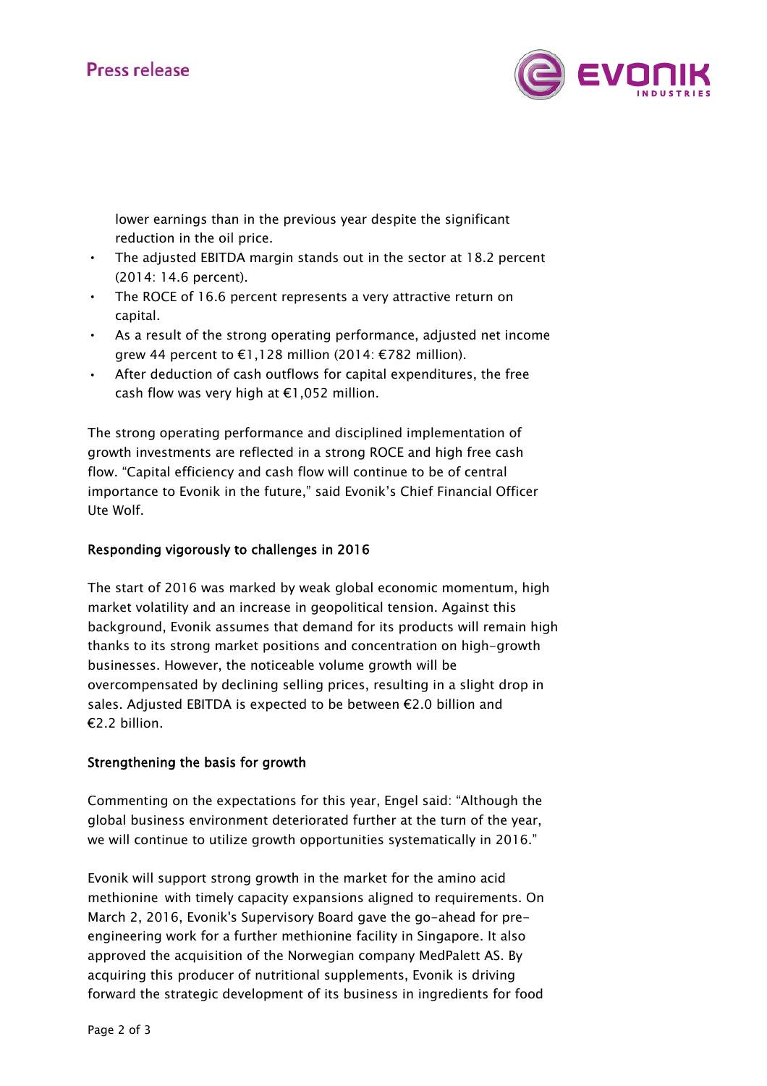

lower earnings than in the previous year despite the significant reduction in the oil price.

- The adjusted EBITDA margin stands out in the sector at 18.2 percent (2014: 14.6 percent).
- The ROCE of 16.6 percent represents a very attractive return on capital.
- As a result of the strong operating performance, adjusted net income grew 44 percent to €1,128 million (2014: €782 million).
- After deduction of cash outflows for capital expenditures, the free cash flow was very high at  $E1,052$  million.

The strong operating performance and disciplined implementation of growth investments are reflected in a strong ROCE and high free cash flow. "Capital efficiency and cash flow will continue to be of central importance to Evonik in the future," said Evonik's Chief Financial Officer Ute Wolf.

## Responding vigorously to challenges in 2016

The start of 2016 was marked by weak global economic momentum, high market volatility and an increase in geopolitical tension. Against this background, Evonik assumes that demand for its products will remain high thanks to its strong market positions and concentration on high-growth businesses. However, the noticeable volume growth will be overcompensated by declining selling prices, resulting in a slight drop in sales. Adjusted EBITDA is expected to be between €2.0 billion and €2.2 billion.

### Strengthening the basis for growth

Commenting on the expectations for this year, Engel said: "Although the global business environment deteriorated further at the turn of the year, we will continue to utilize growth opportunities systematically in 2016."

Evonik will support strong growth in the market for the amino acid methionine with timely capacity expansions aligned to requirements. On March 2, 2016, Evonik's Supervisory Board gave the go-ahead for preengineering work for a further methionine facility in Singapore. It also approved the acquisition of the Norwegian company MedPalett AS. By acquiring this producer of nutritional supplements, Evonik is driving forward the strategic development of its business in ingredients for food